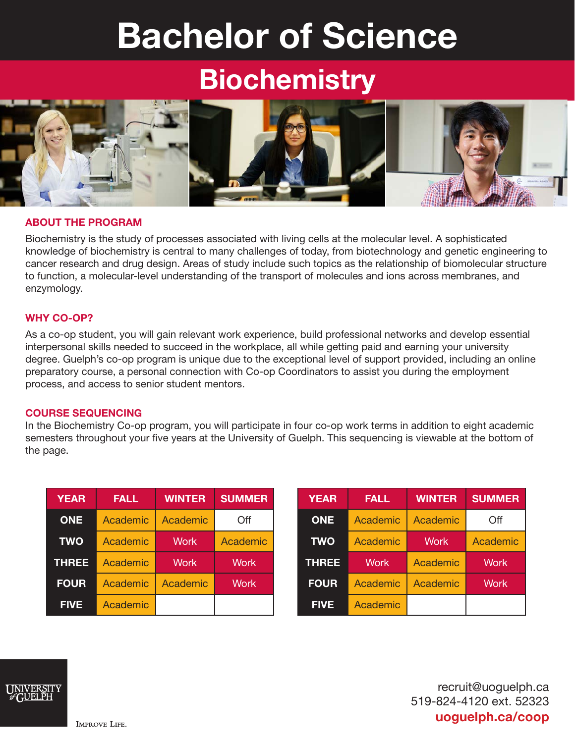# Bachelor of Science

# **Biochemistry**



# ABOUT THE PROGRAM

Biochemistry is the study of processes associated with living cells at the molecular level. A sophisticated knowledge of biochemistry is central to many challenges of today, from biotechnology and genetic engineering to cancer research and drug design. Areas of study include such topics as the relationship of biomolecular structure to function, a molecular-level understanding of the transport of molecules and ions across membranes, and enzymology.

# WHY CO-OP?

As a co-op student, you will gain relevant work experience, build professional networks and develop essential interpersonal skills needed to succeed in the workplace, all while getting paid and earning your university degree. Guelph's co-op program is unique due to the exceptional level of support provided, including an online preparatory course, a personal connection with Co-op Coordinators to assist you during the employment process, and access to senior student mentors.

## COURSE SEQUENCING

In the Biochemistry Co-op program, you will participate in four co-op work terms in addition to eight academic semesters throughout your five years at the University of Guelph. This sequencing is viewable at the bottom of the page.

| <b>YEAR</b>  | <b>FALL</b> | <b>WINTER</b> | <b>SUMMER</b> |
|--------------|-------------|---------------|---------------|
| <b>ONE</b>   | Academic    | Academic      | Off           |
| <b>TWO</b>   | Academic    | <b>Work</b>   | Academic      |
| <b>THREE</b> | Academic    | <b>Work</b>   | <b>Work</b>   |
| <b>FOUR</b>  | Academic    | Academic      | <b>Work</b>   |
| <b>FIVE</b>  | Academic    |               |               |

| <b>YEAR</b>  | <b>FALL</b> | <b>WINTER</b> | <b>SUMMER</b> |
|--------------|-------------|---------------|---------------|
| <b>ONE</b>   | Academic    | Academic      | Off           |
| <b>TWO</b>   | Academic    | <b>Work</b>   | Academic      |
| <b>THREE</b> | <b>Work</b> | Academic      | <b>Work</b>   |
| <b>FOUR</b>  | Academic    | Academic      | <b>Work</b>   |
| <b>FIVE</b>  | Academic    |               |               |